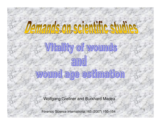# Witality of wounds an ound age estimation

Wolfgang Grellner and Burkhard Madea

Forensic Science International 165 (2007) 150–154

1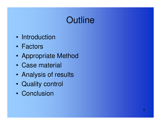### **Outline**

- •**Introduction**
- $\bullet$ Factors
- •Appropriate Method
- •Case material
- $\bullet$ Analysis of results
- •Quality control
- •**Conclusion**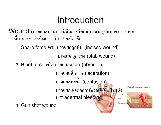### Introduction

 $\mathsf{W}\mathsf{ound}$  (บาดแผล) ในทางนิติพยาธิวิทยาแบ่งตามรูปแบบของแรงกล ที่มากระทำต่อร่างกาย เป็น 3 ชนิด คือ

1. Sharp force เช่น บาดแผลถูกฟัน (incised wound)

บาดแผลถูกแทง (stab wound)

2. Blunt force เช่น บาดแผลถลอก (abrasion)

บาดแผลฉีกขาด (laceration) บาดแผลฟกชั่ำ า (**contusion)** บาคแผลเลือดออกบริเวณใต้ชั้นผิวหนัง Skin (intradermal bleeding)

Deep laceration wound

Fat

Muscle-

3. Gun shot wound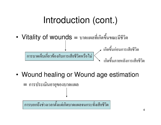### Introduction (cont.)

• $V$ itality of wounds = บาคแผลที่เกิดขึ้นขณะมีชีวิต

การบาคเจ็บเกี่ยวข้องกับการเสียชีวิตหรือไม่ เกิดขึ้นก่อนการเสียชีวิต เกิดขึ้นภายหลังการเสียชีวิต

•Wound healing or Wound age estimation

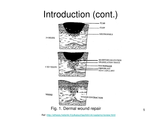### Introduction (cont.)



Ref :http://ethesis.helsinki.fi/julkaisut/laa/kliin/vk/vaalamo/review.html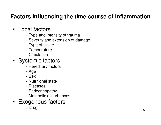### **Factors influencing the time course of inflammation**

#### • Local factors

- Ivne and i Type and intensity of trauma
- Saverity and extension of d Severity and extension of damage
- -Type of tissue
- Tamnaratura **Temperature**
- -**Circulation**

#### • Systemic factors

- Haraditarv tarto Hereditary factors
- -Age
- 50 Sex
- Nu Nutritional state
- -**Diseases**
- Endocrir Endocrinopathy
- Mataholio dietu Metabolic disturbances
- Exogenous factors
	- -Drugs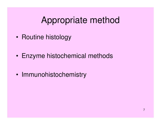### Appropriate method

- •Routine histology
- •Enzyme histochemical methods
- •Immunohistochemistry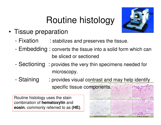## Routine histology



- • Tissue preparation
	- Fixation : stabilizes and preserves the tissue.
	- - Embedding : converts the tissue into a solid form which can be sliced or sectioned
	- -Sectioning : provides the very thin specimens needed for microscopy.
	- Staining : provides visual contrast and may help identify specific tissue components.

Routine histology uses the stain combination of **hematoxylin** and **eosin**, commonly referred to as **(HE)**.

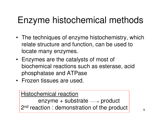### Enzyme histochemical methods

- The techniques of enzyme histochemistry, which relate structure and function, can be used to locate many enzymes.
- Enzymes are the catalysts of most of biochemical reactions such as esterase, acid phosphatase and ATPase
- Frozen tissues are used.

#### Histochemical reaction

enzyme + substrate  $\longrightarrow$  product 2<sup>nd</sup> reaction : demonstration of the product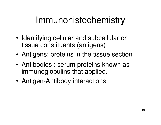### Immunohistochemistry

- • Identifying cellular and subcellular or tissue constituents (antigens)
- •Antigens: proteins in the tissue section
- • Antibodies : serum proteins known as immunoglobulins that applied.
- •Antigen-Antibody interactions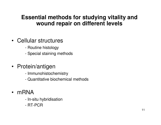#### **Essential methods for studying vitality and wound repair on different levels**

#### • Cellular structures

- Routine histology
- Special staining methods

#### • Protein/antigen

- Immunohistochemistry
- Quantitative biochemical methods
- mRNA
	- Ir In-situ hybridisation
	- RT-PCR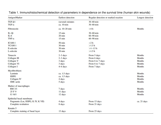| Antigen/Marker                    | <b>Earliest</b> detection | Regular detection or marked reaction | Longest detection |
|-----------------------------------|---------------------------|--------------------------------------|-------------------|
| $TGF-\beta1$                      | (several) minutes         | $30-60$ min                          |                   |
| $TGF-\alpha$                      | ca. 10 min                | $30-60$ min                          |                   |
| Fibronectin                       | ca. 10-20 min             | >4 h                                 | <b>Months</b>     |
| $IL-1\beta$                       | $15 \text{ min}$          | $30-60$ min                          |                   |
| $IL-6$                            | $20 \text{ min}$          | $60 - 90$ min                        |                   |
| TNF- $\alpha$                     | $15 \text{ min}$          | $60 - 90$ min                        |                   |
| ICAM-1                            | $50 \text{ min}$          | >2 h                                 |                   |
| VCAM-1                            | $30 \text{ min}$          | $>1.5$ h                             |                   |
| E-selectin                        | $30 \text{ min}$          | $>1-1.5$ h                           |                   |
| L-selectin                        | $30 \text{ min}$          | $>1.5$ h                             |                   |
| Tenascin                          | $2-3$ days                | From 5 days                          | <b>Months</b>     |
| Collagen III                      | $2-3$ days                | From 6 days                          | <b>Months</b>     |
| Collagen V                        | 3 days                    | From 6 to 7 days                     | <b>Months</b>     |
| <b>Collagen VI</b>                | 3 days                    | From 6 to 7 days                     | <b>Months</b>     |
| Collagen I                        | 4–6 days                  | From 7 days                          | <b>Months</b>     |
| Myofibroblasts                    |                           |                                      |                   |
| Laminin                           | ca. 1.5 days              |                                      | <b>Months</b>     |
| <b>HSPG</b>                       | ca. 1.5 days              |                                      | <b>Months</b>     |
| Collagen IV                       | 4 days                    |                                      | <b>Months</b>     |
| <b>SMC-actin</b>                  | 5 days                    |                                      | <b>Months</b>     |
| Marker of macrophages             |                           |                                      |                   |
| <b>RM 3/1</b>                     | 7 days                    |                                      | <b>Months</b>     |
| 25F9                              | 11 days                   |                                      | <b>Months</b>     |
| G 16/1                            | 12 days                   |                                      | <b>Months</b>     |
| Epithelial basal membrane         |                           |                                      |                   |
| Fragments (Lm, HSPG, K IV, K VII) | 4 days                    | From 13 days                         | ca. 21 days       |
| Complete restitution              | 8 days                    | From 21 days                         |                   |
| Keratin <sub>5</sub>              |                           |                                      |                   |
| Complete staining of basal layer  | 13 days                   | From 23 days                         |                   |

Table 1. Immunohistochemical detection of parameters in dependence on the survival time (human skin wounds)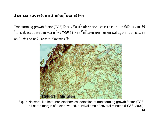#### ตัวอย่างการตรวจวัดทางด้านอิมมูโนพยาธิวิทยา

Transforming growth factor (TGF) มีความเกี่ยวข้องกับขบวนการหายของบาดแผล จึงมีการนำมาใช้ ในการประเมินอายุของบาคแผล โดย TGF-β1 ทำหน้าที่ในขบวนการสะสม collagen fiber พบมาก ภายในช่วง 60 นาทีแรกภายหลังการบาดเจ็บ



Fig. 2. Network-like immunohistochemical detection of transforming growth factor (TGF) $β1$  at the margin of a stab wound, survival time of several minutes (LSAB, 200x)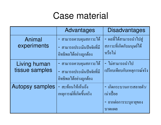### Case material

|                                | Advantages                                                                     | <b>Disadvantages</b>                                                      |
|--------------------------------|--------------------------------------------------------------------------------|---------------------------------------------------------------------------|
| Animal<br>experiments          | - สามารถควบคุมสภาวะได้<br>- สามารถประเมินปัจจัยที่มี<br>อิทธิพลได้อย่างถูกต้อง | - ผลที่ได้สามารถนำไปสู่<br>ิสภาวะที่เกิดกับมนุษย์ได้<br>หรือไม่           |
| Living human<br>tissue samples | - สามารถควบคุมสภาวะได้<br>- สามารถประเมินปัจจัยที่มี<br>อิทธิพลใค้อย่างถูกต้อง | - ไม่สามารถนำไป<br>เปรียบเทียบกับเหตุการณ์จริง                            |
| <b>Autopsy samples</b>         | - สะท้อนให้เห็นถึง<br>เหตุการณ์ที่เกิดขึ้นจริง                                 | - เกิดกระบวนการสลายตัว/<br>เน่าเปื่อย<br>- ยากต่อการระบุอายุของ<br>บาดแผล |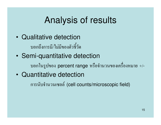### Analysis of results

- • Qualitative detectionบอกถึงการมี/ไม่มีของตัวชี้วัด
- •Semi-quantitative detection

บอกในรูปของ <mark>percent range</mark> หรือจำน วนของเครื่องหมาย  $+/-$ 

•Quantitative detection

การนับจำนวนเซลล์ (cell counts/microscopic field)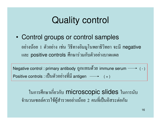### Quality control

•Control groups or control samples

อย่างน้อย 1 ตัวอย่าง เช่น วิธีทางอิมมูโนพยาธิวิทยา จะมี negative และ <mark>positive controls</mark> ศึกษาร่วมกับตัวอย่างบาดแผล

Negative control : primary antibody ពូករេរោน ด้วย immune serum  $\longrightarrow$  ( - )  $\mathsf{Positive}$  controls : เป็นตัวอย่างที่มี antigen  $\hspace{0.05cm}\longrightarrow\hspace{0.05cm}$  ( + )

ในการศึกษาเกี่ยวกับ **microscopic slides** ใน การนับ จำนวนเซลล์ควรใช้ผู้สำรวจอย่างน้อย 2 คน ที่เป็นอิสระต่อกัน